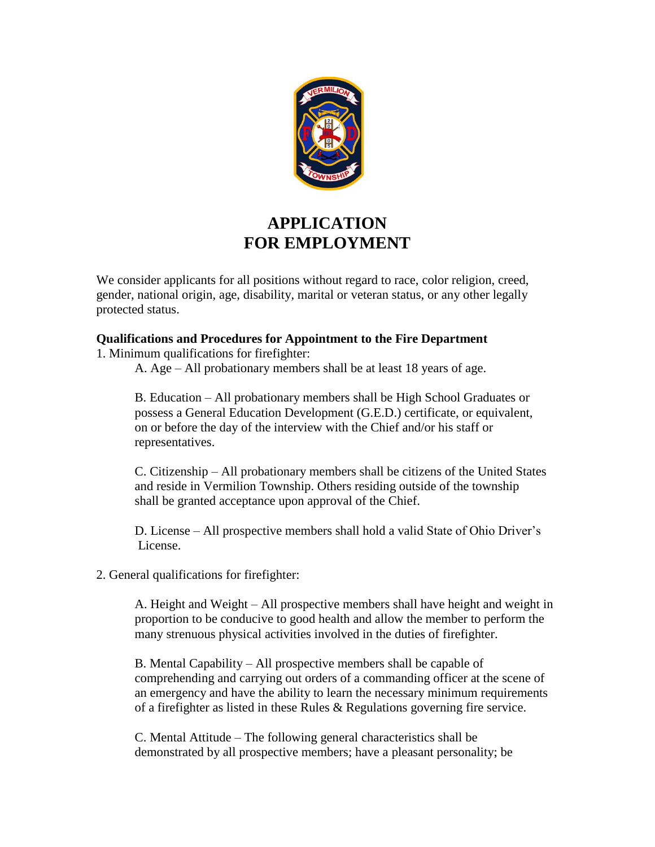

# **APPLICATION FOR EMPLOYMENT**

We consider applicants for all positions without regard to race, color religion, creed, gender, national origin, age, disability, marital or veteran status, or any other legally protected status.

#### **Qualifications and Procedures for Appointment to the Fire Department**

1. Minimum qualifications for firefighter:

A. Age – All probationary members shall be at least 18 years of age.

B. Education – All probationary members shall be High School Graduates or possess a General Education Development (G.E.D.) certificate, or equivalent, on or before the day of the interview with the Chief and/or his staff or representatives.

C. Citizenship – All probationary members shall be citizens of the United States and reside in Vermilion Township. Others residing outside of the township shall be granted acceptance upon approval of the Chief.

D. License – All prospective members shall hold a valid State of Ohio Driver's License.

2. General qualifications for firefighter:

A. Height and Weight – All prospective members shall have height and weight in proportion to be conducive to good health and allow the member to perform the many strenuous physical activities involved in the duties of firefighter.

B. Mental Capability – All prospective members shall be capable of comprehending and carrying out orders of a commanding officer at the scene of an emergency and have the ability to learn the necessary minimum requirements of a firefighter as listed in these Rules & Regulations governing fire service.

C. Mental Attitude – The following general characteristics shall be demonstrated by all prospective members; have a pleasant personality; be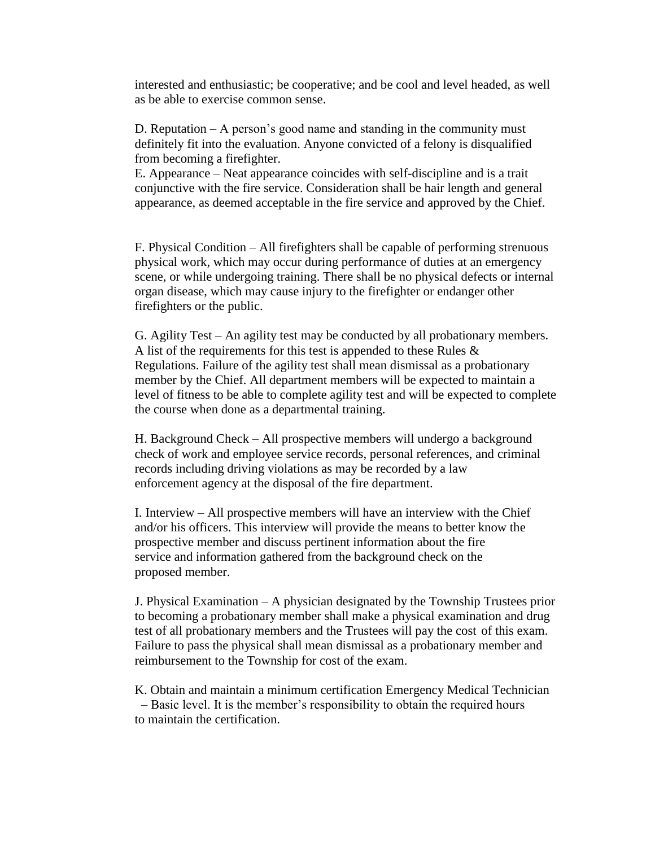interested and enthusiastic; be cooperative; and be cool and level headed, as well as be able to exercise common sense.

D. Reputation – A person's good name and standing in the community must definitely fit into the evaluation. Anyone convicted of a felony is disqualified from becoming a firefighter.

E. Appearance – Neat appearance coincides with self-discipline and is a trait conjunctive with the fire service. Consideration shall be hair length and general appearance, as deemed acceptable in the fire service and approved by the Chief.

F. Physical Condition – All firefighters shall be capable of performing strenuous physical work, which may occur during performance of duties at an emergency scene, or while undergoing training. There shall be no physical defects or internal organ disease, which may cause injury to the firefighter or endanger other firefighters or the public.

G. Agility Test – An agility test may be conducted by all probationary members. A list of the requirements for this test is appended to these Rules  $\&$ Regulations. Failure of the agility test shall mean dismissal as a probationary member by the Chief. All department members will be expected to maintain a level of fitness to be able to complete agility test and will be expected to complete the course when done as a departmental training.

H. Background Check – All prospective members will undergo a background check of work and employee service records, personal references, and criminal records including driving violations as may be recorded by a law enforcement agency at the disposal of the fire department.

I. Interview – All prospective members will have an interview with the Chief and/or his officers. This interview will provide the means to better know the prospective member and discuss pertinent information about the fire service and information gathered from the background check on the proposed member.

J. Physical Examination – A physician designated by the Township Trustees prior to becoming a probationary member shall make a physical examination and drug test of all probationary members and the Trustees will pay the cost of this exam. Failure to pass the physical shall mean dismissal as a probationary member and reimbursement to the Township for cost of the exam.

K. Obtain and maintain a minimum certification Emergency Medical Technician – Basic level. It is the member's responsibility to obtain the required hours to maintain the certification.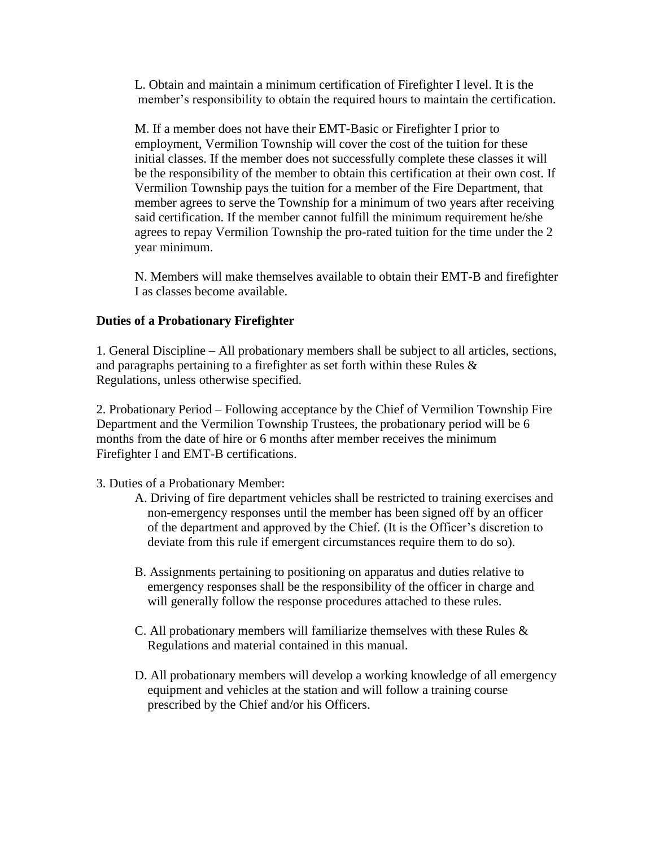L. Obtain and maintain a minimum certification of Firefighter I level. It is the member's responsibility to obtain the required hours to maintain the certification.

M. If a member does not have their EMT-Basic or Firefighter I prior to employment, Vermilion Township will cover the cost of the tuition for these initial classes. If the member does not successfully complete these classes it will be the responsibility of the member to obtain this certification at their own cost. If Vermilion Township pays the tuition for a member of the Fire Department, that member agrees to serve the Township for a minimum of two years after receiving said certification. If the member cannot fulfill the minimum requirement he/she agrees to repay Vermilion Township the pro-rated tuition for the time under the 2 year minimum.

N. Members will make themselves available to obtain their EMT-B and firefighter I as classes become available.

#### **Duties of a Probationary Firefighter**

1. General Discipline – All probationary members shall be subject to all articles, sections, and paragraphs pertaining to a firefighter as set forth within these Rules & Regulations, unless otherwise specified.

2. Probationary Period – Following acceptance by the Chief of Vermilion Township Fire Department and the Vermilion Township Trustees, the probationary period will be 6 months from the date of hire or 6 months after member receives the minimum Firefighter I and EMT-B certifications.

#### 3. Duties of a Probationary Member:

- A. Driving of fire department vehicles shall be restricted to training exercises and non-emergency responses until the member has been signed off by an officer of the department and approved by the Chief. (It is the Officer's discretion to deviate from this rule if emergent circumstances require them to do so).
- B. Assignments pertaining to positioning on apparatus and duties relative to emergency responses shall be the responsibility of the officer in charge and will generally follow the response procedures attached to these rules.
- C. All probationary members will familiarize themselves with these Rules & Regulations and material contained in this manual.
- D. All probationary members will develop a working knowledge of all emergency equipment and vehicles at the station and will follow a training course prescribed by the Chief and/or his Officers.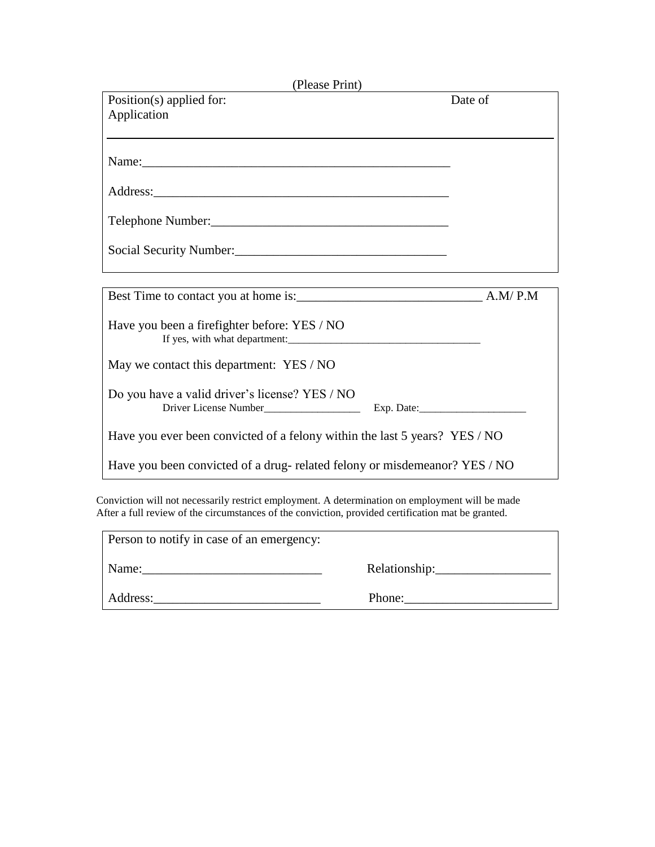| (Please Print)                                                             |         |
|----------------------------------------------------------------------------|---------|
| Position(s) applied for:                                                   | Date of |
| Application                                                                |         |
|                                                                            |         |
|                                                                            |         |
|                                                                            |         |
|                                                                            |         |
|                                                                            |         |
|                                                                            |         |
|                                                                            |         |
|                                                                            |         |
|                                                                            |         |
|                                                                            |         |
|                                                                            |         |
|                                                                            |         |
| Have you been a firefighter before: YES / NO                               |         |
|                                                                            |         |
|                                                                            |         |
| May we contact this department: YES / NO                                   |         |
|                                                                            |         |
| Do you have a valid driver's license? YES / NO                             |         |
| Driver License Number                                                      |         |
|                                                                            |         |
| Have you ever been convicted of a felony within the last 5 years? YES / NO |         |
| Have you been convicted of a drug-related felony or misdemeanor? YES / NO  |         |
|                                                                            |         |

Conviction will not necessarily restrict employment. A determination on employment will be made After a full review of the circumstances of the conviction, provided certification mat be granted.

| Person to notify in case of an emergency: |                    |
|-------------------------------------------|--------------------|
| Name:                                     | Relationship:_____ |
| Address:                                  | Phone:             |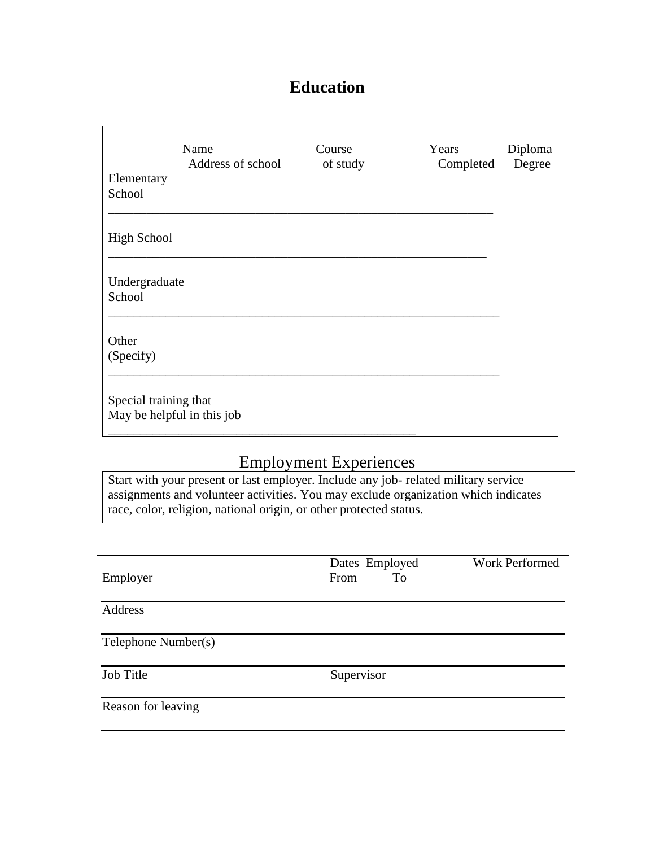# **Education**

| Elementary<br>School                                | Name<br>Address of school | Course<br>of study | Years<br>Completed | Diploma<br>Degree |
|-----------------------------------------------------|---------------------------|--------------------|--------------------|-------------------|
| <b>High School</b>                                  |                           |                    |                    |                   |
| Undergraduate<br>School                             |                           |                    |                    |                   |
| Other<br>(Specify)                                  |                           |                    |                    |                   |
| Special training that<br>May be helpful in this job |                           |                    |                    |                   |

# Employment Experiences

Start with your present or last employer. Include any job- related military service assignments and volunteer activities. You may exclude organization which indicates race, color, religion, national origin, or other protected status.

| Employer            | Dates Employed<br>From<br>To | <b>Work Performed</b> |
|---------------------|------------------------------|-----------------------|
| Address             |                              |                       |
| Telephone Number(s) |                              |                       |
| Job Title           | Supervisor                   |                       |
| Reason for leaving  |                              |                       |
|                     |                              |                       |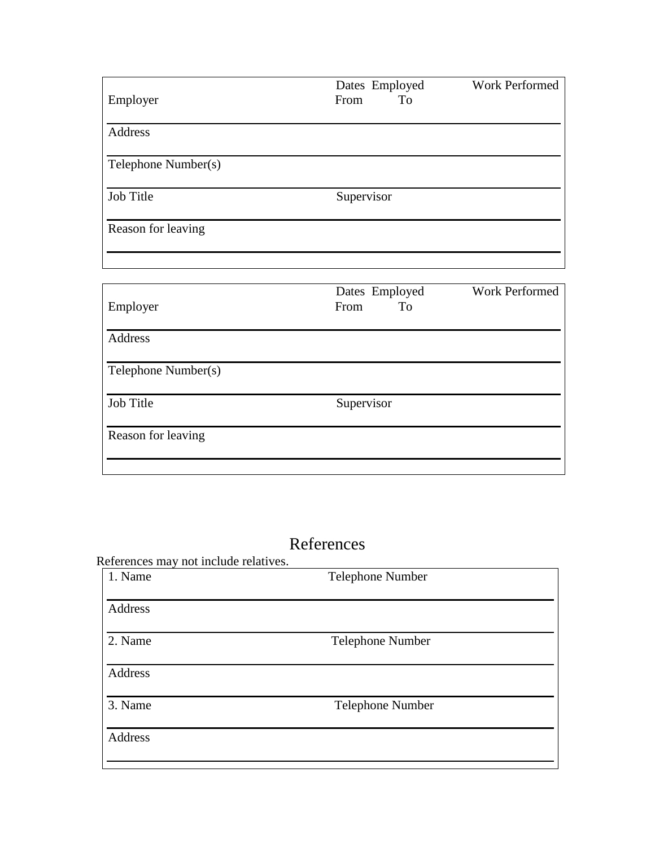| Employer            | Dates Employed<br>To<br>From | Work Performed        |
|---------------------|------------------------------|-----------------------|
| Address             |                              |                       |
| Telephone Number(s) |                              |                       |
| Job Title           | Supervisor                   |                       |
| Reason for leaving  |                              |                       |
|                     |                              |                       |
| Employer            | Dates Employed<br>To<br>From | <b>Work Performed</b> |
| Address             |                              |                       |

References may not include relatives.

Job Title Supervisor

Telephone Number(s)

Reason for leaving

| 1. Name | Telephone Number |  |
|---------|------------------|--|
| Address |                  |  |
| 2. Name | Telephone Number |  |
| Address |                  |  |
| 3. Name | Telephone Number |  |
| Address |                  |  |
|         |                  |  |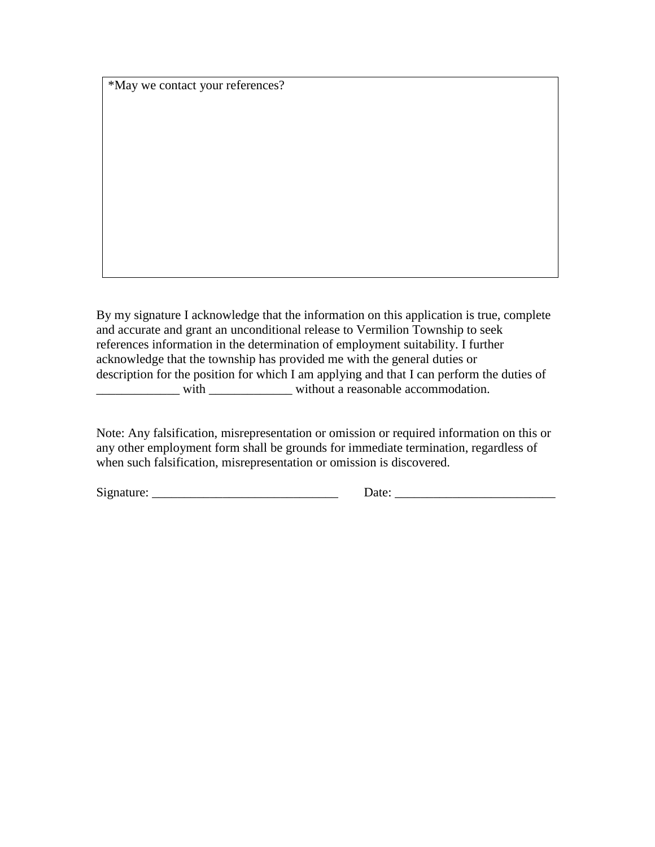\*May we contact your references?

By my signature I acknowledge that the information on this application is true, complete and accurate and grant an unconditional release to Vermilion Township to seek references information in the determination of employment suitability. I further acknowledge that the township has provided me with the general duties or description for the position for which I am applying and that I can perform the duties of \_\_\_\_\_\_\_\_\_\_\_\_\_ with \_\_\_\_\_\_\_\_\_\_\_\_\_ without a reasonable accommodation.

Note: Any falsification, misrepresentation or omission or required information on this or any other employment form shall be grounds for immediate termination, regardless of when such falsification, misrepresentation or omission is discovered.

 $Signature: \_\_\_\_\_\_$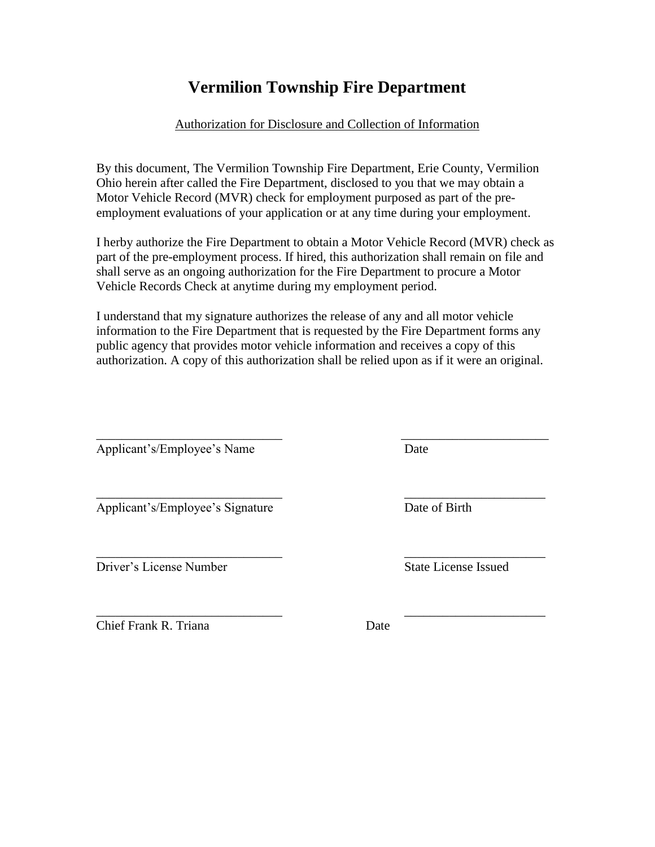## **Vermilion Township Fire Department**

#### Authorization for Disclosure and Collection of Information

By this document, The Vermilion Township Fire Department, Erie County, Vermilion Ohio herein after called the Fire Department, disclosed to you that we may obtain a Motor Vehicle Record (MVR) check for employment purposed as part of the preemployment evaluations of your application or at any time during your employment.

I herby authorize the Fire Department to obtain a Motor Vehicle Record (MVR) check as part of the pre-employment process. If hired, this authorization shall remain on file and shall serve as an ongoing authorization for the Fire Department to procure a Motor Vehicle Records Check at anytime during my employment period.

I understand that my signature authorizes the release of any and all motor vehicle information to the Fire Department that is requested by the Fire Department forms any public agency that provides motor vehicle information and receives a copy of this authorization. A copy of this authorization shall be relied upon as if it were an original.

\_\_\_\_\_\_\_\_\_\_\_\_\_\_\_\_\_\_\_\_\_\_\_\_\_\_\_\_\_ \_\_\_\_\_\_\_\_\_\_\_\_\_\_\_\_\_\_\_\_\_\_

\_\_\_\_\_\_\_\_\_\_\_\_\_\_\_\_\_\_\_\_\_\_\_\_\_\_\_\_\_ \_\_\_\_\_\_\_\_\_\_\_\_\_\_\_\_\_\_\_\_\_\_

 $\overline{\phantom{a}}$  , and the contract of the contract of the contract of the contract of the contract of the contract of the contract of the contract of the contract of the contract of the contract of the contract of the contrac Applicant's/Employee's Name Date

Applicant's/Employee's Signature Date of Birth

Driver's License Number State License Issued

Chief Frank R. Triana Date

\_\_\_\_\_\_\_\_\_\_\_\_\_\_\_\_\_\_\_\_\_\_\_\_\_\_\_\_\_ \_\_\_\_\_\_\_\_\_\_\_\_\_\_\_\_\_\_\_\_\_\_